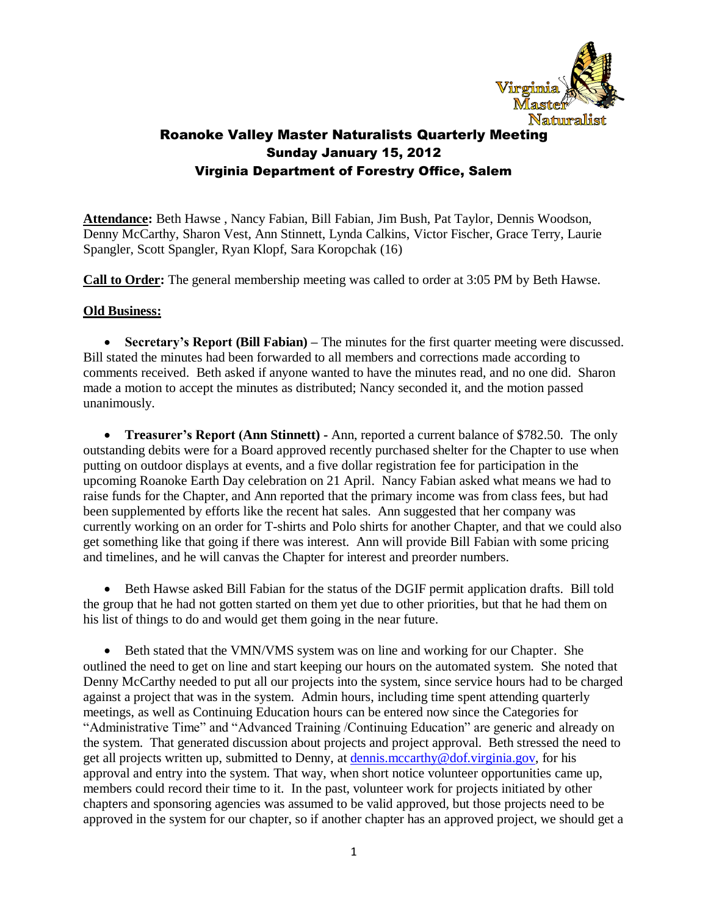

**Attendance:** Beth Hawse , Nancy Fabian, Bill Fabian, Jim Bush, Pat Taylor, Dennis Woodson, Denny McCarthy, Sharon Vest, Ann Stinnett, Lynda Calkins, Victor Fischer, Grace Terry, Laurie Spangler, Scott Spangler, Ryan Klopf, Sara Koropchak (16)

**Call to Order:** The general membership meeting was called to order at 3:05 PM by Beth Hawse.

#### **Old Business:**

 **Secretary's Report (Bill Fabian) –** The minutes for the first quarter meeting were discussed. Bill stated the minutes had been forwarded to all members and corrections made according to comments received. Beth asked if anyone wanted to have the minutes read, and no one did. Sharon made a motion to accept the minutes as distributed; Nancy seconded it, and the motion passed unanimously.

 **Treasurer's Report (Ann Stinnett) -** Ann, reported a current balance of \$782.50. The only outstanding debits were for a Board approved recently purchased shelter for the Chapter to use when putting on outdoor displays at events, and a five dollar registration fee for participation in the upcoming Roanoke Earth Day celebration on 21 April. Nancy Fabian asked what means we had to raise funds for the Chapter, and Ann reported that the primary income was from class fees, but had been supplemented by efforts like the recent hat sales. Ann suggested that her company was currently working on an order for T-shirts and Polo shirts for another Chapter, and that we could also get something like that going if there was interest. Ann will provide Bill Fabian with some pricing and timelines, and he will canvas the Chapter for interest and preorder numbers.

 Beth Hawse asked Bill Fabian for the status of the DGIF permit application drafts. Bill told the group that he had not gotten started on them yet due to other priorities, but that he had them on his list of things to do and would get them going in the near future.

 Beth stated that the VMN/VMS system was on line and working for our Chapter. She outlined the need to get on line and start keeping our hours on the automated system. She noted that Denny McCarthy needed to put all our projects into the system, since service hours had to be charged against a project that was in the system. Admin hours, including time spent attending quarterly meetings, as well as Continuing Education hours can be entered now since the Categories for "Administrative Time" and "Advanced Training /Continuing Education" are generic and already on the system. That generated discussion about projects and project approval. Beth stressed the need to get all projects written up, submitted to Denny, at [dennis.mccarthy@dof.virginia.gov,](mailto:dennis.mccarthy@dof.virginia.gov) for his approval and entry into the system. That way, when short notice volunteer opportunities came up, members could record their time to it. In the past, volunteer work for projects initiated by other chapters and sponsoring agencies was assumed to be valid approved, but those projects need to be approved in the system for our chapter, so if another chapter has an approved project, we should get a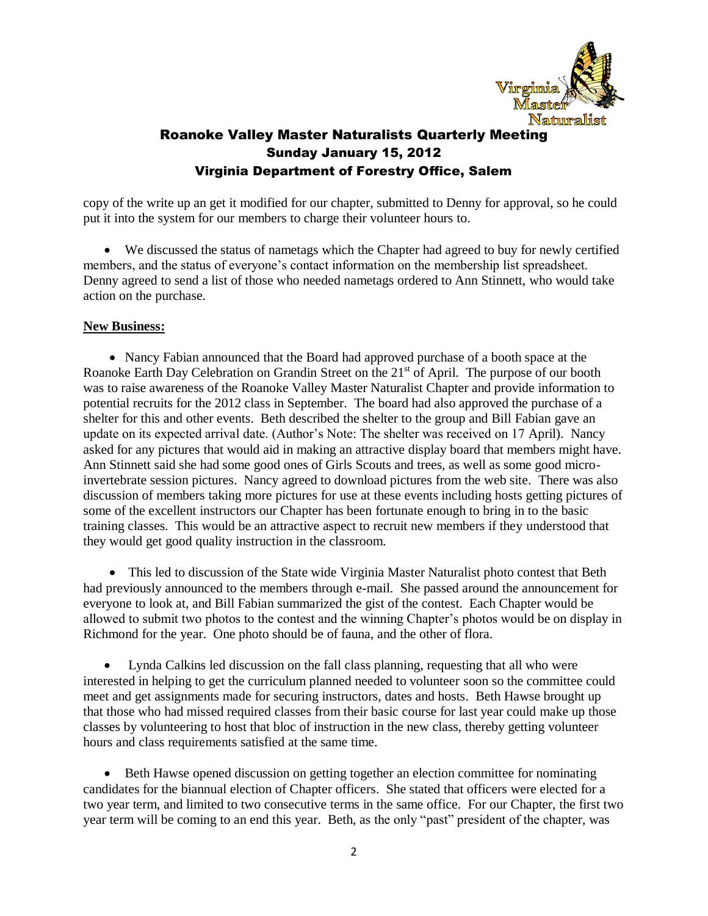

copy of the write up an get it modified for our chapter, submitted to Denny for approval, so he could put it into the system for our members to charge their volunteer hours to.

 We discussed the status of nametags which the Chapter had agreed to buy for newly certified members, and the status of everyone's contact information on the membership list spreadsheet. Denny agreed to send a list of those who needed nametags ordered to Ann Stinnett, who would take action on the purchase.

#### **New Business:**

 Nancy Fabian announced that the Board had approved purchase of a booth space at the Roanoke Earth Day Celebration on Grandin Street on the 21<sup>st</sup> of April. The purpose of our booth was to raise awareness of the Roanoke Valley Master Naturalist Chapter and provide information to potential recruits for the 2012 class in September. The board had also approved the purchase of a shelter for this and other events. Beth described the shelter to the group and Bill Fabian gave an update on its expected arrival date. (Author's Note: The shelter was received on 17 April). Nancy asked for any pictures that would aid in making an attractive display board that members might have. Ann Stinnett said she had some good ones of Girls Scouts and trees, as well as some good microinvertebrate session pictures. Nancy agreed to download pictures from the web site. There was also discussion of members taking more pictures for use at these events including hosts getting pictures of some of the excellent instructors our Chapter has been fortunate enough to bring in to the basic training classes. This would be an attractive aspect to recruit new members if they understood that they would get good quality instruction in the classroom.

 This led to discussion of the State wide Virginia Master Naturalist photo contest that Beth had previously announced to the members through e-mail. She passed around the announcement for everyone to look at, and Bill Fabian summarized the gist of the contest. Each Chapter would be allowed to submit two photos to the contest and the winning Chapter's photos would be on display in Richmond for the year. One photo should be of fauna, and the other of flora.

 Lynda Calkins led discussion on the fall class planning, requesting that all who were interested in helping to get the curriculum planned needed to volunteer soon so the committee could meet and get assignments made for securing instructors, dates and hosts. Beth Hawse brought up that those who had missed required classes from their basic course for last year could make up those classes by volunteering to host that bloc of instruction in the new class, thereby getting volunteer hours and class requirements satisfied at the same time.

• Beth Hawse opened discussion on getting together an election committee for nominating candidates for the biannual election of Chapter officers. She stated that officers were elected for a two year term, and limited to two consecutive terms in the same office. For our Chapter, the first two year term will be coming to an end this year. Beth, as the only "past" president of the chapter, was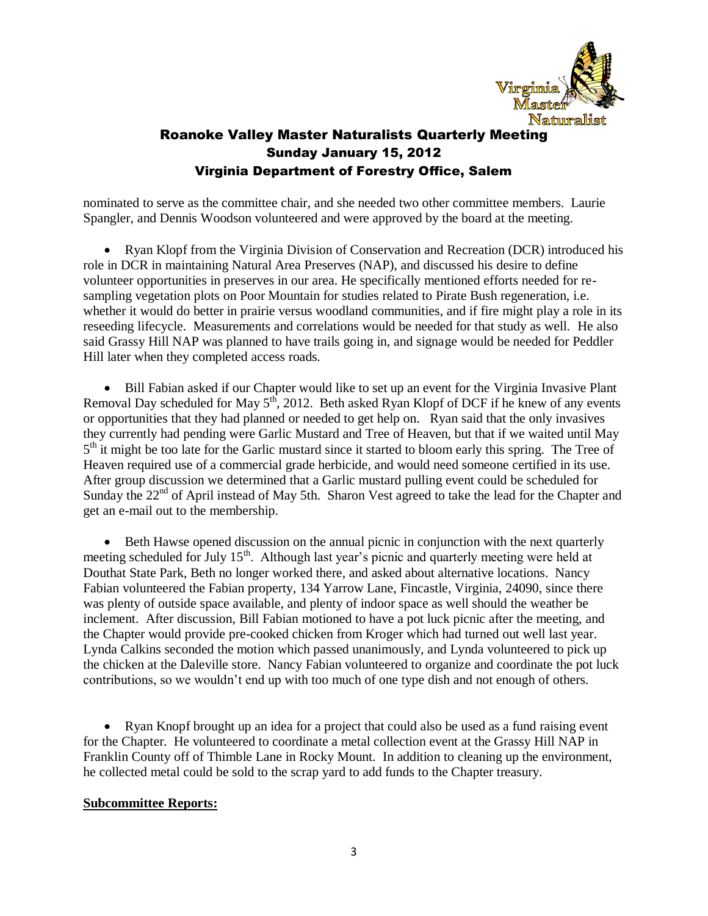

nominated to serve as the committee chair, and she needed two other committee members. Laurie Spangler, and Dennis Woodson volunteered and were approved by the board at the meeting.

• Ryan Klopf from the Virginia Division of Conservation and Recreation (DCR) introduced his role in DCR in maintaining Natural Area Preserves (NAP), and discussed his desire to define volunteer opportunities in preserves in our area. He specifically mentioned efforts needed for resampling vegetation plots on Poor Mountain for studies related to Pirate Bush regeneration, i.e. whether it would do better in prairie versus woodland communities, and if fire might play a role in its reseeding lifecycle. Measurements and correlations would be needed for that study as well. He also said Grassy Hill NAP was planned to have trails going in, and signage would be needed for Peddler Hill later when they completed access roads.

• Bill Fabian asked if our Chapter would like to set up an event for the Virginia Invasive Plant Removal Day scheduled for May  $5<sup>th</sup>$ , 2012. Beth asked Ryan Klopf of DCF if he knew of any events or opportunities that they had planned or needed to get help on. Ryan said that the only invasives they currently had pending were Garlic Mustard and Tree of Heaven, but that if we waited until May 5<sup>th</sup> it might be too late for the Garlic mustard since it started to bloom early this spring. The Tree of Heaven required use of a commercial grade herbicide, and would need someone certified in its use. After group discussion we determined that a Garlic mustard pulling event could be scheduled for Sunday the  $22<sup>nd</sup>$  of April instead of May 5th. Sharon Vest agreed to take the lead for the Chapter and get an e-mail out to the membership.

 Beth Hawse opened discussion on the annual picnic in conjunction with the next quarterly meeting scheduled for July 15<sup>th</sup>. Although last year's picnic and quarterly meeting were held at Douthat State Park, Beth no longer worked there, and asked about alternative locations. Nancy Fabian volunteered the Fabian property, 134 Yarrow Lane, Fincastle, Virginia, 24090, since there was plenty of outside space available, and plenty of indoor space as well should the weather be inclement. After discussion, Bill Fabian motioned to have a pot luck picnic after the meeting, and the Chapter would provide pre-cooked chicken from Kroger which had turned out well last year. Lynda Calkins seconded the motion which passed unanimously, and Lynda volunteered to pick up the chicken at the Daleville store. Nancy Fabian volunteered to organize and coordinate the pot luck contributions, so we wouldn't end up with too much of one type dish and not enough of others.

• Ryan Knopf brought up an idea for a project that could also be used as a fund raising event for the Chapter. He volunteered to coordinate a metal collection event at the Grassy Hill NAP in Franklin County off of Thimble Lane in Rocky Mount. In addition to cleaning up the environment, he collected metal could be sold to the scrap yard to add funds to the Chapter treasury.

#### **Subcommittee Reports:**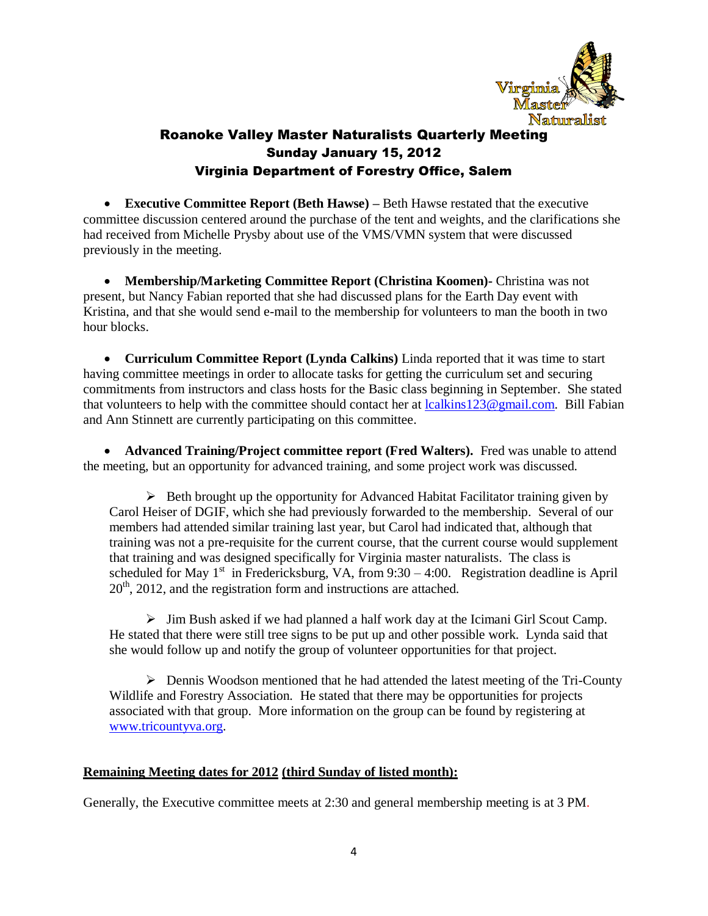

 **Executive Committee Report (Beth Hawse) –** Beth Hawse restated that the executive committee discussion centered around the purchase of the tent and weights, and the clarifications she had received from Michelle Prysby about use of the VMS/VMN system that were discussed previously in the meeting.

 **Membership/Marketing Committee Report (Christina Koomen)-** Christina was not present, but Nancy Fabian reported that she had discussed plans for the Earth Day event with Kristina, and that she would send e-mail to the membership for volunteers to man the booth in two hour blocks.

 **Curriculum Committee Report (Lynda Calkins)** Linda reported that it was time to start having committee meetings in order to allocate tasks for getting the curriculum set and securing commitments from instructors and class hosts for the Basic class beginning in September. She stated that volunteers to help with the committee should contact her at  $lcal{123@gmail.com}$ . Bill Fabian and Ann Stinnett are currently participating on this committee.

**• Advanced Training/Project committee report (Fred Walters).** Fred was unable to attend the meeting, but an opportunity for advanced training, and some project work was discussed.

 $\triangleright$  Beth brought up the opportunity for Advanced Habitat Facilitator training given by Carol Heiser of DGIF, which she had previously forwarded to the membership. Several of our members had attended similar training last year, but Carol had indicated that, although that training was not a pre-requisite for the current course, that the current course would supplement that training and was designed specifically for Virginia master naturalists. The class is scheduled for May  $1<sup>st</sup>$  in Fredericksburg, VA, from 9:30 – 4:00. Registration deadline is April  $20<sup>th</sup>$ , 2012, and the registration form and instructions are attached.

 $\triangleright$  Jim Bush asked if we had planned a half work day at the Icimani Girl Scout Camp. He stated that there were still tree signs to be put up and other possible work. Lynda said that she would follow up and notify the group of volunteer opportunities for that project.

 $\triangleright$  Dennis Woodson mentioned that he had attended the latest meeting of the Tri-County Wildlife and Forestry Association. He stated that there may be opportunities for projects associated with that group. More information on the group can be found by registering at [www.tricountyva.org.](http://www.tricountyva.org/)

### **Remaining Meeting dates for 2012 (third Sunday of listed month):**

Generally, the Executive committee meets at 2:30 and general membership meeting is at 3 PM.